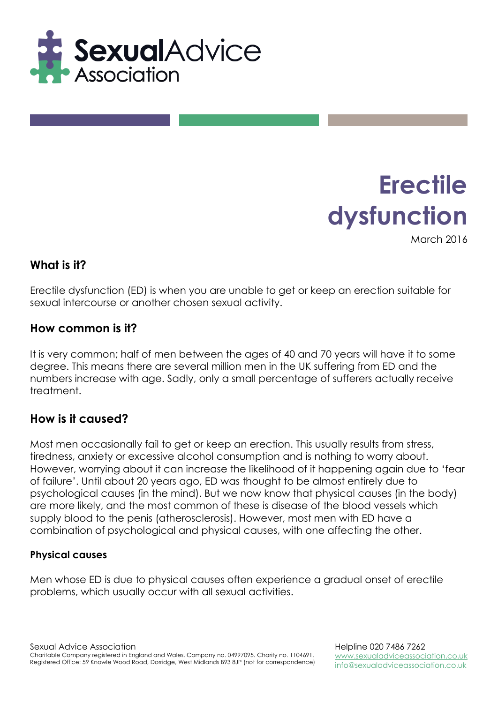

# **Erectile dysfunction**

March 2016

#### **What is it?**

Erectile dysfunction (ED) is when you are unable to get or keep an erection suitable for sexual intercourse or another chosen sexual activity.

#### **How common is it?**

It is very common; half of men between the ages of 40 and 70 years will have it to some degree. This means there are several million men in the UK suffering from ED and the numbers increase with age. Sadly, only a small percentage of sufferers actually receive treatment.

## **How is it caused?**

Most men occasionally fail to get or keep an erection. This usually results from stress, tiredness, anxiety or excessive alcohol consumption and is nothing to worry about. However, worrying about it can increase the likelihood of it happening again due to 'fear of failure'. Until about 20 years ago, ED was thought to be almost entirely due to psychological causes (in the mind). But we now know that physical causes (in the body) are more likely, and the most common of these is disease of the blood vessels which supply blood to the penis (atherosclerosis). However, most men with ED have a combination of psychological and physical causes, with one affecting the other.

#### **Physical causes**

Men whose ED is due to physical causes often experience a gradual onset of erectile problems, which usually occur with all sexual activities.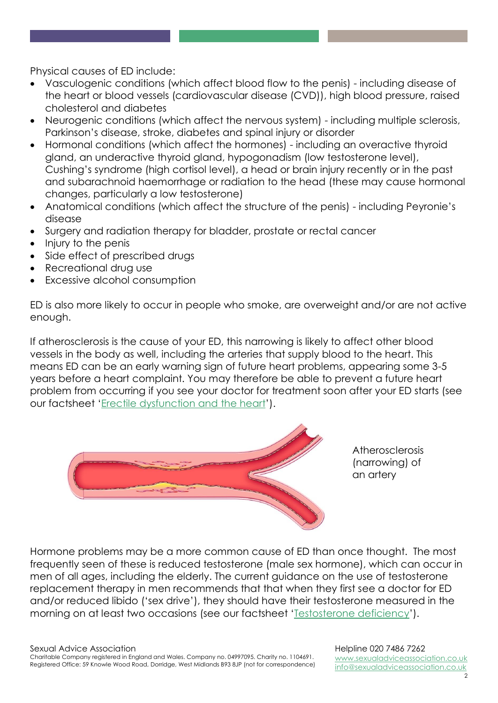Physical causes of ED include:

- Vasculogenic conditions (which affect blood flow to the penis) including disease of the heart or blood vessels (cardiovascular disease (CVD)), high blood pressure, raised cholesterol and diabetes
- Neurogenic conditions (which affect the nervous system) including multiple sclerosis, Parkinson's disease, stroke, diabetes and spinal injury or disorder
- Hormonal conditions (which affect the hormones) including an overactive thyroid gland, an underactive thyroid gland, hypogonadism (low testosterone level), Cushing's syndrome (high cortisol level), a head or brain injury recently or in the past and subarachnoid haemorrhage or radiation to the head (these may cause hormonal changes, particularly a low testosterone)
- Anatomical conditions (which affect the structure of the penis) including Peyronie's disease
- Surgery and radiation therapy for bladder, prostate or rectal cancer
- Injury to the penis
- Side effect of prescribed drugs
- Recreational drug use
- Excessive alcohol consumption

ED is also more likely to occur in people who smoke, are overweight and/or are not active enough.

If atherosclerosis is the cause of your ED, this narrowing is likely to affect other blood vessels in the body as well, including the arteries that supply blood to the heart. This means ED can be an early warning sign of future heart problems, appearing some 3-5 years before a heart complaint. You may therefore be able to prevent a future heart problem from occurring if you see your doctor for treatment soon after your ED starts (see our factsheet 'Erectile dysfunction and the heart').



Atherosclerosis (narrowing) of an artery

Hormone problems may be a more common cause of ED than once thought. The most frequently seen of these is reduced testosterone (male sex hormone), which can occur in men of all ages, including the elderly. The current guidance on the use of testosterone replacement therapy in men recommends that that when they first see a doctor for ED and/or reduced libido ('sex drive'), they should have their testosterone measured in the morning on at least two occasions (see our factsheet 'Testosterone deficiency').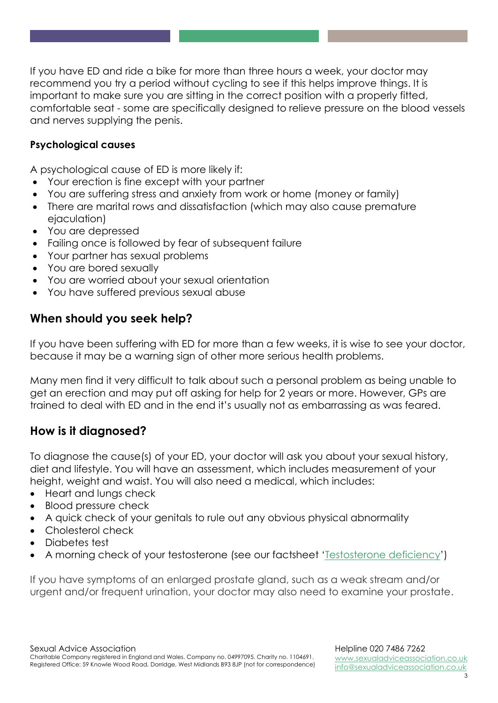If you have ED and ride a bike for more than three hours a week, your doctor may recommend you try a period without cycling to see if this helps improve things. It is important to make sure you are sitting in the correct position with a properly fitted, comfortable seat - some are specifically designed to relieve pressure on the blood vessels and nerves supplying the penis.

#### **Psychological causes**

A psychological cause of ED is more likely if:

- Your erection is fine except with your partner
- You are suffering stress and anxiety from work or home (money or family)
- There are marital rows and dissatisfaction (which may also cause premature ejaculation)
- You are depressed
- Failing once is followed by fear of subsequent failure
- Your partner has sexual problems
- You are bored sexually
- You are worried about your sexual orientation
- You have suffered previous sexual abuse

## **When should you seek help?**

If you have been suffering with ED for more than a few weeks, it is wise to see your doctor, because it may be a warning sign of other more serious health problems.

Many men find it very difficult to talk about such a personal problem as being unable to get an erection and may put off asking for help for 2 years or more. However, GPs are trained to deal with ED and in the end it's usually not as embarrassing as was feared.

## **How is it diagnosed?**

To diagnose the cause(s) of your ED, your doctor will ask you about your sexual history, diet and lifestyle. You will have an assessment, which includes measurement of your height, weight and waist. You will also need a medical, which includes:

- Heart and lungs check
- Blood pressure check
- A quick check of your genitals to rule out any obvious physical abnormality
- Cholesterol check
- Diabetes test
- A morning check of your testosterone (see our factsheet 'Testosterone deficiency')

If you have symptoms of an enlarged prostate gland, such as a weak stream and/or urgent and/or frequent urination, your doctor may also need to examine your prostate.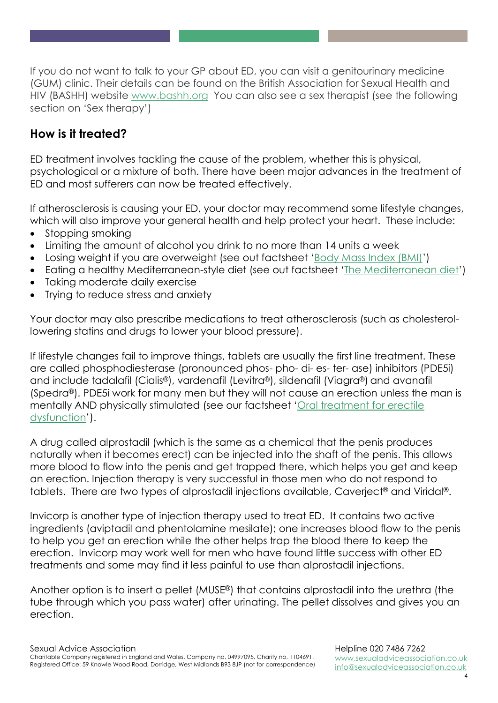If you do not want to talk to your GP about ED, you can visit a genitourinary medicine (GUM) clinic. Their details can be found on the British Association for Sexual Health and HIV (BASHH) website [www.bashh.org](http://www.bashh.org/) You can also see a sex therapist (see the following section on 'Sex therapy')

## **How is it treated?**

ED treatment involves tackling the cause of the problem, whether this is physical, psychological or a mixture of both. There have been major advances in the treatment of ED and most sufferers can now be treated effectively.

If atherosclerosis is causing your ED, your doctor may recommend some lifestyle changes, which will also improve your general health and help protect your heart. These include:

- Stopping smoking
- Limiting the amount of alcohol you drink to no more than 14 units a week
- Losing weight if you are overweight (see out factsheet 'Body Mass Index (BMI)')
- Eating a healthy Mediterranean-style diet (see out factsheet 'The Mediterranean diet')
- Taking moderate daily exercise
- Trying to reduce stress and anxiety

Your doctor may also prescribe medications to treat atherosclerosis (such as cholesterollowering statins and drugs to lower your blood pressure).

If lifestyle changes fail to improve things, tablets are usually the first line treatment. These are called phosphodiesterase (pronounced phos- pho- di- es- ter- ase) inhibitors (PDE5i) and include tadalafil (Cialis®), vardenafil (Levitra®), sildenafil (Viagra®) and avanafil (Spedra®). PDE5i work for many men but they will not cause an erection unless the man is mentally AND physically stimulated (see our factsheet 'Oral treatment for erectile dysfunction').

A drug called alprostadil (which is the same as a chemical that the penis produces naturally when it becomes erect) can be injected into the shaft of the penis. This allows more blood to flow into the penis and get trapped there, which helps you get and keep an erection. Injection therapy is very successful in those men who do not respond to tablets. There are two types of alprostadil injections available, Caverject® and Viridal®.

Invicorp is another type of injection therapy used to treat ED. It contains two active ingredients (aviptadil and phentolamine mesilate); one increases blood flow to the penis to help you get an erection while the other helps trap the blood there to keep the erection. Invicorp may work well for men who have found little success with other ED treatments and some may find it less painful to use than alprostadil injections.

Another option is to insert a pellet (MUSE®) that contains alprostadil into the urethra (the tube through which you pass water) after urinating. The pellet dissolves and gives you an erection.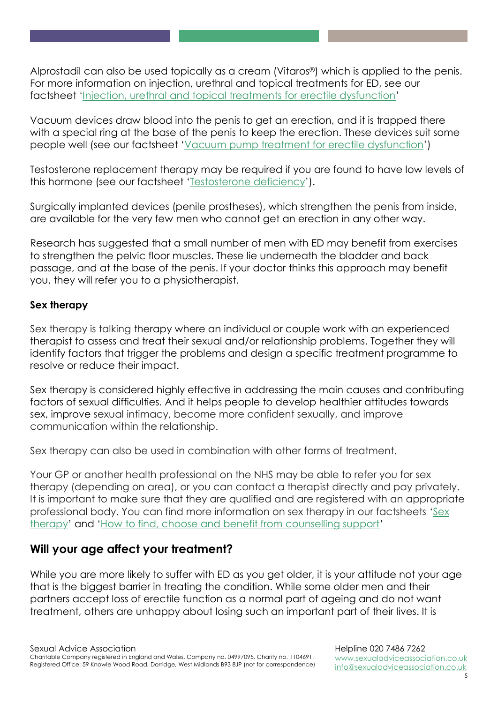Alprostadil can also be used topically as a cream (Vitaros®) which is applied to the penis. For more information on injection, urethral and topical treatments for ED, see our factsheet 'Injection, urethral and topical treatments for erectile dysfunction'

Vacuum devices draw blood into the penis to get an erection, and it is trapped there with a special ring at the base of the penis to keep the erection. These devices suit some people well (see our factsheet 'Vacuum pump treatment for erectile dysfunction')

Testosterone replacement therapy may be required if you are found to have low levels of this hormone (see our factsheet 'Testosterone deficiency').

Surgically implanted devices (penile prostheses), which strengthen the penis from inside, are available for the very few men who cannot get an erection in any other way.

Research has suggested that a small number of men with ED may benefit from exercises to strengthen the pelvic floor muscles. These lie underneath the bladder and back passage, and at the base of the penis. If your doctor thinks this approach may benefit you, they will refer you to a physiotherapist.

#### **Sex therapy**

Sex therapy is talking therapy where an individual or couple work with an experienced therapist to assess and treat their sexual and/or relationship problems. Together they will identify factors that trigger the problems and design a specific treatment programme to resolve or reduce their impact.

Sex therapy is considered highly effective in addressing the main causes and contributing factors of sexual difficulties. And it helps people to develop healthier attitudes towards sex, improve sexual intimacy, become more confident sexually, and improve communication within the relationship.

Sex therapy can also be used in combination with other forms of treatment.

Your GP or another health professional on the NHS may be able to refer you for sex therapy (depending on area), or you can contact a therapist directly and pay privately. It is important to make sure that they are qualified and are registered with an appropriate professional body. You can find more information on sex therapy in our factsheets 'Sex therapy' and 'How to find, choose and benefit from counselling support'

#### **Will your age affect your treatment?**

While you are more likely to suffer with ED as you get older, it is your attitude not your age that is the biggest barrier in treating the condition. While some older men and their partners accept loss of erectile function as a normal part of ageing and do not want treatment, others are unhappy about losing such an important part of their lives. It is